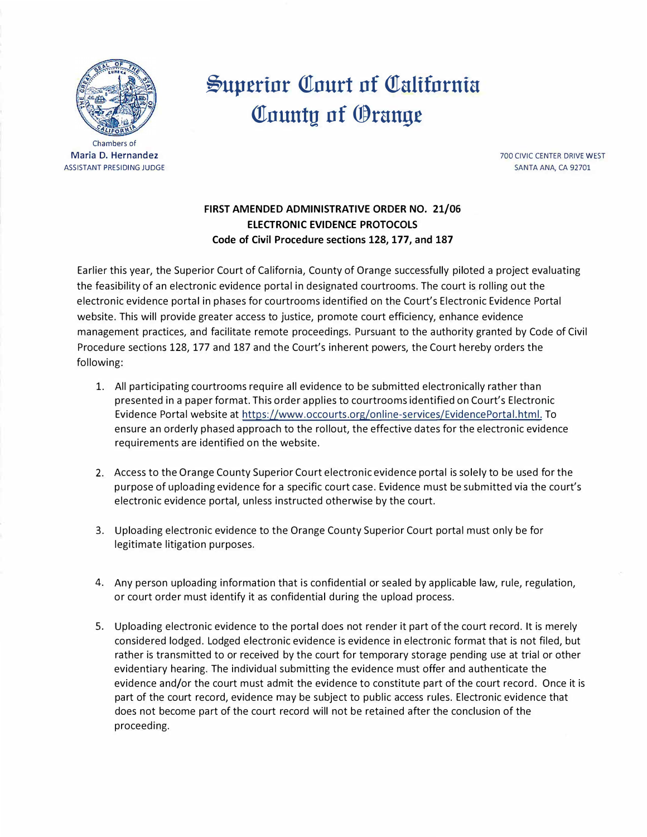

Maria D. Hernandez ASSISTANT PRESIDING JUDGE

## $\mathcal{S}$ uperior Court of California **County of Orange**

700 CIVIC CENTER DRIVE WEST SANTA ANA, CA 92701

## **FIRST AMENDED ADMINISTRATIVE ORDER NO. 21/06 ELECTRONIC EVIDENCE PROTOCOLS Code of Civil Procedure sections 128, 177, and 187**

Earlier this year, the Superior Court of California, County of Orange successfully piloted a project evaluating the feasibility of an electronic evidence portal in designated courtrooms. The court is rolling out the electronic evidence portal in phases for courtrooms identified on the Court's Electronic Evidence Portal website. This will provide greater access to justice, promote court efficiency, enhance evidence management practices, and facilitate remote proceedings. Pursuant to the authority granted by Code of Civil Procedure sections 128, 177 and 187 and the Court's inherent powers, the Court hereby orders the following:

- 1. All participating courtrooms require all evidence to be submitted electronically rather than presented in a paper format. This order applies to courtrooms identified on Court's Electronic Evidence Portal website at [https://www.occourts.org/online-services/EvidencePortal.html. To](https://www.occourts.org/online-services/EvidencePortal.html) ensure an orderly phased approach to the rollout, the effective dates for the electronic evidence requirements are identified on the website.
- 2. Access to the Orange County Superior Court electronic evidence portal is solely to be used for the purpose of uploading evidence for a specific court case. Evidence must be submitted via the court's electronic evidence portal, unless instructed otherwise by the court.
- 3. Uploading electronic evidence to the Orange County Superior Court portal must only be for legitimate litigation purposes.
- 4. Any person uploading information that is confidential or sealed by applicable law, rule, regulation, or court order must identify it as confidential during the upload process.
- 5. Uploading electronic evidence to the portal does not render it part of the court record. It is merely considered lodged. Lodged electronic evidence is evidence in electronic format that is not filed, but rather is transmitted to or received by the court for temporary storage pending use at trial or other evidentiary hearing. The individual submitting the evidence must offer and authenticate the evidence and/or the court must admit the evidence to constitute part of the court record. Once it is part of the court record, evidence may be subject to public access rules. Electronic evidence that does not become part of the court record will not be retained after the conclusion of the proceeding.